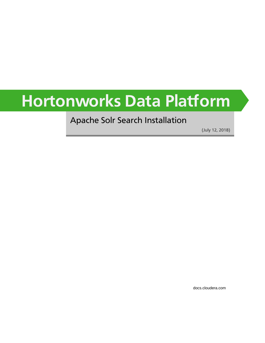# **Hortonworks Data Platform**

### Apache Solr Search Installation

(July 12, 2018)

[docs.cloudera.com](http://docs.cloudera.com)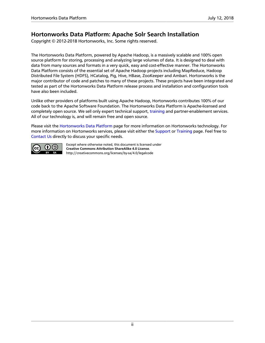#### **Hortonworks Data Platform: Apache Solr Search Installation**

Copyright © 2012-2018 Hortonworks, Inc. Some rights reserved.

The Hortonworks Data Platform, powered by Apache Hadoop, is a massively scalable and 100% open source platform for storing, processing and analyzing large volumes of data. It is designed to deal with data from many sources and formats in a very quick, easy and cost-effective manner. The Hortonworks Data Platform consists of the essential set of Apache Hadoop projects including MapReduce, Hadoop Distributed File System (HDFS), HCatalog, Pig, Hive, HBase, ZooKeeper and Ambari. Hortonworks is the major contributor of code and patches to many of these projects. These projects have been integrated and tested as part of the Hortonworks Data Platform release process and installation and configuration tools have also been included.

Unlike other providers of platforms built using Apache Hadoop, Hortonworks contributes 100% of our code back to the Apache Software Foundation. The Hortonworks Data Platform is Apache-licensed and completely open source. We sell only expert technical support, [training](https://hortonworks.com/training/) and partner-enablement services. All of our technology is, and will remain free and open source.

Please visit the [Hortonworks Data Platform](https://hortonworks.com/products/hdp/) page for more information on Hortonworks technology. For more information on Hortonworks services, please visit either the [Support](https://hortonworks.com/services/) or [Training](https://hortonworks.com/training/) page. Feel free to [Contact Us](https://hortonworks.com/contact-us/) directly to discuss your specific needs.



Except where otherwise noted, this document is licensed under **[Creative Commons Attribution ShareAlike 4.0 License](http://creativecommons.org/licenses/by-sa/4.0/legalcode)**. <http://creativecommons.org/licenses/by-sa/4.0/legalcode>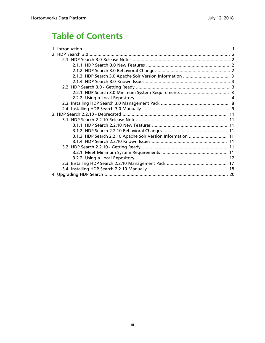### **Table of Contents**

| 3.1.3. HDP Search 2.2.10 Apache Solr Version Information  11 |  |
|--------------------------------------------------------------|--|
|                                                              |  |
|                                                              |  |
|                                                              |  |
|                                                              |  |
|                                                              |  |
|                                                              |  |
|                                                              |  |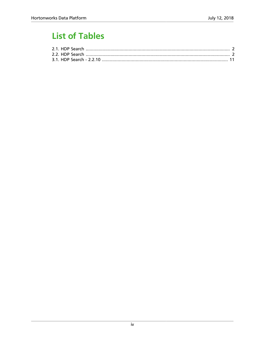### **List of Tables**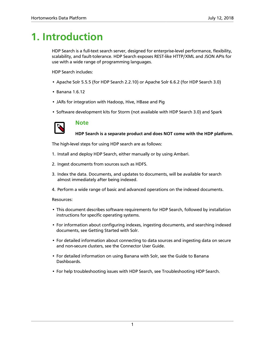### <span id="page-4-0"></span>**1. Introduction**

HDP Search is a full-text search server, designed for enterprise-level performance, flexibility, scalability, and fault-tolerance. HDP Search exposes REST-like HTTP/XML and JSON APIs for use with a wide range of programming languages.

HDP Search includes:

- Apache Solr 5.5.5 (for HDP Search 2.2.10) or Apache Solr 6.6.2 (for HDP Search 3.0)
- Banana 1.6.12
- JARs for integration with Hadoop, Hive, HBase and Pig
- Software development kits for Storm (not available with HDP Search 3.0) and Spark



#### **Note**

**HDP Search is a separate product and does NOT come with the HDP platform.**

The high-level steps for using HDP search are as follows:

- 1. Install and deploy HDP Search, either manually or by using Ambari.
- 2. Ingest documents from sources such as HDFS.
- 3. Index the data. Documents, and updates to documents, will be available for search almost immediately after being indexed.
- 4. Perform a wide range of basic and advanced operations on the indexed documents.

#### Resources:

- This document describes software requirements for HDP Search, followed by installation instructions for specific operating systems.
- For information about configuring indexes, ingesting documents, and searching indexed documents, see Getting Started with Solr.
- For detailed information about connecting to data sources and ingesting data on secure and non-secure clusters, see the Connector User Guide.
- For detailed information on using Banana with Solr, see the Guide to Banana Dashboards.
- For help troubleshooting issues with HDP Search, see Troubleshooting HDP Search.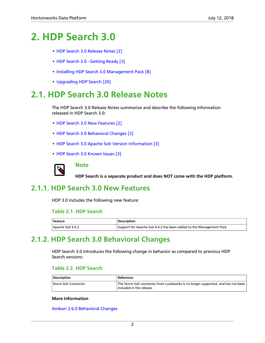### <span id="page-5-0"></span>**2. HDP Search 3.0**

- [HDP Search 3.0 Release Notes \[2\]](#page-5-1)
- [HDP Search 3.0 Getting Ready \[3\]](#page-6-2)
- [Installing HDP Search 3.0 Management Pack \[8\]](#page-11-0)
- [Upgrading HDP Search \[20\]](#page-23-0)

### <span id="page-5-1"></span>**2.1. HDP Search 3.0 Release Notes**

The HDP Search 3.0 Release Notes summarize and describe the following information released in HDP Search 3.0:

- [HDP Search 3.0 New Features \[2\]](#page-5-2)
- [HDP Search 3.0 Behavioral Changes \[2\]](#page-5-3)
- [HDP Search 3.0 Apache Solr Version Information \[3\]](#page-6-0)
- [HDP Search 3.0 Known Issues \[3\]](#page-6-1)



**Note**

**HDP Search is a separate product and does NOT come with the HDP platform.**

### <span id="page-5-4"></span><span id="page-5-2"></span>**2.1.1. HDP Search 3.0 New Features**

HDP 3.0 includes the following new feature:

#### **Table 2.1. HDP Search**

| <b>∣Feature</b>   | <b>Description</b>                                                  |  |
|-------------------|---------------------------------------------------------------------|--|
| Apache Solr 6.6.2 | Support for Apache Solr 6.6.2 has been added to the Management Pack |  |

### <span id="page-5-3"></span>**2.1.2. HDP Search 3.0 Behavioral Changes**

HDP Search 3.0 introduces the following change in behavior as compared to previous HDP Search versions:

#### <span id="page-5-5"></span>**Table 2.2. HDP Search**

| <b>Description</b>   | Reference                                                                                                      |
|----------------------|----------------------------------------------------------------------------------------------------------------|
| Storm Solr Connector | The Storm Solr connector from Lucidworks is no longer supported, and has not been<br>included in this release. |

#### **More Information**

[Ambari 2.6.0 Behavioral Changes](https://docs.hortonworks.com/HDPDocuments/Ambari-2.6.0.0/bk_ambari-release-notes/content/ambari_relnotes-2.6.0.0-behavioral-changes.html)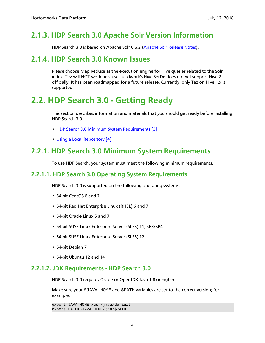### <span id="page-6-0"></span>**2.1.3. HDP Search 3.0 Apache Solr Version Information**

HDP Search 3.0 is based on Apache Solr 6.6.2 ([Apache Solr Release Notes\)](http://lucene.apache.org/solr/6_6_2/changes/Changes.html).

#### <span id="page-6-1"></span>**2.1.4. HDP Search 3.0 Known Issues**

Please choose Map Reduce as the execution engine for Hive queries related to the Solr index. Tez will NOT work because Lucidwork's Hive SerDe does not yet support Hive 2 officially. It has been roadmapped for a future release. Currently, only Tez on Hive 1.x is supported.

### <span id="page-6-2"></span>**2.2. HDP Search 3.0 - Getting Ready**

This section describes information and materials that you should get ready before installing HDP Search 3.0.

- [HDP Search 3.0 Minimum System Requirements \[3\]](#page-6-3)
- [Using a Local Repository \[4\]](#page-7-0)

### <span id="page-6-3"></span>**2.2.1. HDP Search 3.0 Minimum System Requirements**

To use HDP Search, your system must meet the following minimum requirements.

#### **2.2.1.1. HDP Search 3.0 Operating System Requirements**

HDP Search 3.0 is supported on the following operating systems:

- 64-bit CentOS 6 and 7
- 64-bit Red Hat Enterprise Linux (RHEL) 6 and 7
- 64-bit Oracle Linux 6 and 7
- 64-bit SUSE Linux Enterprise Server (SLES) 11, SP3/SP4
- 64-bit SUSE Linux Enterprise Server (SLES) 12
- 64-bit Debian 7
- 64-bit Ubuntu 12 and 14

#### **2.2.1.2. JDK Requirements - HDP Search 3.0**

HDP Search 3.0 requires Oracle or OpenJDK Java 1.8 or higher.

Make sure your \$JAVA\_HOME and \$PATH variables are set to the correct version; for example:

```
export JAVA_HOME=/usr/java/default
export PATH=$JAVA_HOME/bin:$PATH
```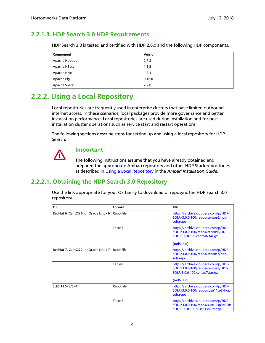#### **2.2.1.3. HDP Search 3.0 HDP Requirements**

HDP Search 3.0 is tested and certified with HDP 2.6.x and the following HDP components.

| Component     | Version |
|---------------|---------|
| Apache Hadoop | 2.7.3   |
| Apache HBase  | 1.1.2   |
| Apache Hive   | 1.2.1   |
| Apache Pig    | 0.16.0  |
| Apache Spark  | 2.2.0   |

### <span id="page-7-0"></span>**2.2.2. Using a Local Repository**

Local repositories are frequently used in enterprise clusters that have limited outbound internet access. In these scenarios, local packages provide more governance and better installation performance. Local repositories are used during installation and for postinstallation cluster operations such as service start and restart operations.

The following sections describe steps for setting up and using a local repository for HDP Search.

#### **Important**

The following instructions assume that you have already obtained and prepared the appropriate Ambari repository and other HDP Stack repositories as described in [Using a Local Repository](https://docs.hortonworks.com/HDPDocuments/Ambari-2.7.0.0/bk_ambari-installation/content/ch_using-local-repos.html) in the *Ambari Installation Guide*.

#### **2.2.2.1. Obtaining the HDP Search 3.0 Repository**

Use the link appropriate for your OS family to download or reposync the HDP Search 3.0 repository.

| <b>OS</b>                             | Format         | URL                                                                                                                     |
|---------------------------------------|----------------|-------------------------------------------------------------------------------------------------------------------------|
| RedHat 6, CentOS 6, or Oracle Linux 6 | Repo File      | https://archive.cloudera.com/p/HDP-<br>SOLR/3.0.0-100/repos/centos6/hdp-<br>solr.repo                                   |
|                                       | <b>Tarball</b> | https://archive.cloudera.com/p/HDP-<br>SOLR/3.0.0-100/repos/centos6/HDP-<br>SOLR-3.0.0-100-centos6.tar.gz<br>(md5, asc) |
| RedHat 7, CentOS 7, or Oracle Linux 7 | Repo File      | https://archive.cloudera.com/p/HDP-<br>SOLR/3.0.0-100/repos/centos7/hdp-<br>solr.repo                                   |
|                                       | Tarball        | https://archive.cloudera.com/p/HDP-<br>SOLR/3.0.0-100/repos/centos7/HDP-<br>SOLR-3.0.0-100-centos7.tar.gz<br>(md5, asc) |
| SLES 11 SP3/SP4                       | Repo File      | https://archive.cloudera.com/p/HDP-<br>SOLR/3.0.0-100/repos/suse11sp3/hdp-<br>solr.repo                                 |
|                                       | <b>Tarball</b> | https://archive.cloudera.com/p/HDP-<br>SOLR/3.0.0-100/repos/suse11sp3/HDP-<br>SOLR-3.0.0-100-suse11sp3.tar.gz           |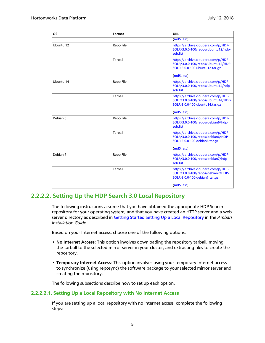| <b>OS</b> | Format         | <b>URL</b>                                                                                                                |
|-----------|----------------|---------------------------------------------------------------------------------------------------------------------------|
|           |                | (md5, asc)                                                                                                                |
| Ubuntu 12 | Repo File      | https://archive.cloudera.com/p/HDP-<br>SOLR/3.0.0-100/repos/ubuntu12/hdp-<br>solr.list                                    |
|           | <b>Tarball</b> | https://archive.cloudera.com/p/HDP-<br>SOLR/3.0.0-100/repos/ubuntu12/HDP-<br>SOLR-3.0.0-100-ubuntu12.tar.gz<br>(md5, asc) |
| Ubuntu 14 | Repo File      | https://archive.cloudera.com/p/HDP-<br>SOLR/3.0.0-100/repos/ubuntu14/hdp-<br>solr.list                                    |
|           | <b>Tarball</b> | https://archive.cloudera.com/p/HDP-<br>SOLR/3.0.0-100/repos/ubuntu14/HDP-<br>SOLR-3.0.0-100-ubuntu14.tar.gz<br>(md5, asc) |
| Debian 6  | Repo File      | https://archive.cloudera.com/p/HDP-<br>SOLR/3.0.0-100/repos/debian6/hdp-<br>solr.list                                     |
|           | Tarball        | https://archive.cloudera.com/p/HDP-<br>SOLR/3.0.0-100/repos/debian6/HDP-<br>SOLR-3.0.0-100-debian6.tar.gz<br>(md5, asc)   |
| Debian 7  | Repo File      | https://archive.cloudera.com/p/HDP-<br>SOLR/3.0.0-100/repos/debian7/hdp-<br>solr.list                                     |
|           | <b>Tarball</b> | https://archive.cloudera.com/p/HDP-<br>SOLR/3.0.0-100/repos/debian7/HDP-<br>SOLR-3.0.0-100-debian7.tar.qz<br>(md5, asc)   |

#### **2.2.2.2. Setting Up the HDP Search 3.0 Local Repository**

The following instructions assume that you have obtained the appropriate HDP Search repository for your operating system, and that you have created an HTTP server and a web server directory as described in [Getting Started Setting Up a Local Repository](https://docs.hortonworks.com/HDPDocuments/Ambari-2.7.0.0/bk_ambari-installation/content/getting_started_setting_up_a_local_repository.html) in the *Ambari Installation Guide*.

Based on your Internet access, choose one of the following options:

- **No Internet Access**: This option involves downloading the repository tarball, moving the tarball to the selected mirror server in your cluster, and extracting files to create the repository.
- **Temporary Internet Access**: This option involves using your temporary Internet access to synchronize (using reposync) the software package to your selected mirror server and creating the repository.

The following subsections describe how to set up each option.

#### **2.2.2.2.1. Setting Up a Local Repository with No Internet Access**

If you are setting up a local repository with no internet access, complete the following steps: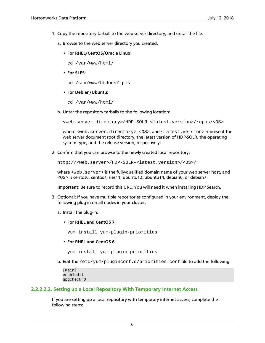- 1. Copy the repository tarball to the web server directory, and untar the file.
	- a. Browse to the web server directory you created.
		- **For RHEL/CentOS/Oracle Linux**:

cd /var/www/html/

• **For SLES**:

cd /srv/www/htdocs/rpms

• **For Debian/Ubuntu**:

cd /var/www/html/

b. Untar the repository tarballs to the following location:

<web.server.directory>/HDP-SOLR-<latest.version>/repos/<OS>

where <web.server.directory>, <OS>, and <latest.version> represent the web server document root directory, the latest version of HDP-SOLR, the operating system type, and the release version, respectively.

2. Confirm that you can browse to the newly created local repository:

http://<web.server>/HDP-SOLR-<latest.version>/<OS>/

where <web. server> is the fully-qualified domain name of your web server host, and <OS> is centos6, centos7, sles11, ubuntu12, ubuntu14, debian6, or debian7.

**Important**: Be sure to record this URL. You will need it when installing HDP Search.

- 3. Optional: If you have multiple repositories configured in your environment, deploy the following plug-in on all nodes in your cluster.
	- a. Install the plug-in.
		- **For RHEL and CentOS 7**:

yum install yum-plugin-priorities

• **For RHEL and CentOS 6**:

yum install yum-plugin-priorities

b. Edit the /etc/yum/pluginconf.d/priorities.conf file to add the following:

```
[main]
enabled=1
gpgcheck=0
```
#### **2.2.2.2.2. Setting up a Local Repository With Temporary Internet Access**

If you are setting up a local repository with temporary internet access, complete the following steps: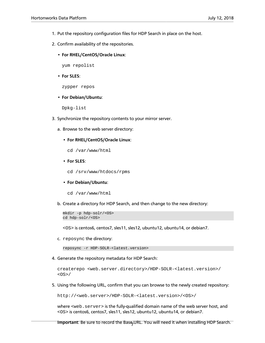- 1. Put the repository configuration files for HDP Search in place on the host.
- 2. Confirm availability of the repositories.
	- **For RHEL/CentOS/Oracle Linux**:

yum repolist

• **For SLES**:

zypper repos

• **For Debian/Ubuntu**:

Dpkg-list

- 3. Synchronize the repository contents to your mirror server.
	- a. Browse to the web server directory:
		- **For RHEL/CentOS/Oracle Linux**:
			- cd /var/www/html
		- **For SLES**:
			- cd /srv/www/htdocs/rpms

#### • **For Debian/Ubuntu**:

- cd /var/www/html
- b. Create a directory for HDP Search, and then change to the new directory:

```
mkdir -p hdp-solr/<OS>
cd hdp-solr/<OS>
```
<OS> is centos6, centos7, sles11, sles12, ubuntu12, ubuntu14, or debian7.

c. reposync the directory:

reposync -r HDP-SOLR-<latest.version>

4. Generate the repository metadata for HDP Search:

```
createrepo <web.server.directory>/HDP-SOLR-<latest.version>/
<OS>/
```
5. Using the following URL, confirm that you can browse to the newly created repository:

http://<web.server>/HDP-SOLR-<latest.version>/<OS>/

where <web.server> is the fully-qualified domain name of the web server host, and <OS> is centos6, centos7, sles11, sles12, ubuntu12, ubuntu14, or debian7.

**Important**: Be sure to record the Base<sub>Z</sub>URL. You will need it when installing HDP Search.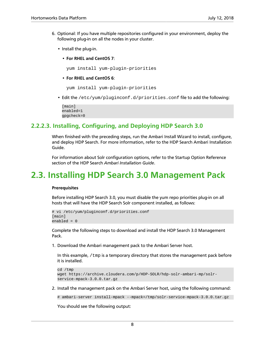- 6. Optional: If you have multiple repositories configured in your environment, deploy the following plug-in on all the nodes in your cluster.
	- Install the plug-in.
		- **For RHEL and CentOS 7**:

yum install yum-plugin-priorities

• **For RHEL and CentOS 6**:

yum install yum-plugin-priorities

• Edit the /etc/yum/pluginconf.d/priorities.conf file to add the following:

[main] enabled=1 gpgcheck=0

#### **2.2.2.3. Installing, Configuring, and Deploying HDP Search 3.0**

When finished with the preceding steps, run the Ambari Install Wizard to install, configure, and deploy HDP Search. For more information, refer to the HDP Search Ambari Installation Guide.

For information about Solr configuration options, refer to the Startup Option Reference section of the HDP Search *Ambari Installation Guide*.

### <span id="page-11-0"></span>**2.3. Installing HDP Search 3.0 Management Pack**

#### **Prerequisites**

Before installing HDP Search 3.0, you must disable the yum repo priorities plug-in on all hosts that will have the HDP Search Solr component installed, as follows:

```
# vi /etc/yum/pluginconf.d/priorities.conf
[main]
enabled = 0
```
Complete the following steps to download and install the HDP Search 3.0 Management Pack.

1. Download the Ambari management pack to the Ambari Server host.

In this example,  $/$ tmp is a temporary directory that stores the management pack before it is installed.

```
cd /tmp
wget https://archive.cloudera.com/p/HDP-SOLR/hdp-solr-ambari-mp/solr-
service-mpack-3.0.0.tar.gz
```
2. Install the management pack on the Ambari Server host, using the following command:

```
# ambari-server install-mpack --mpack=/tmp/solr-service-mpack-3.0.0.tar.gz
```
You should see the following output: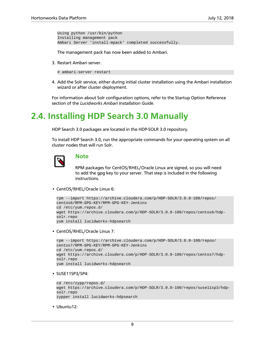Using python /usr/bin/python Installing management pack Ambari Server 'install-mpack' completed successfully.

The management pack has now been added to Ambari.

3. Restart Ambari server.

# ambari-server restart

4. Add the Solr service, either during initial cluster installation using the Ambari installation wizard or after cluster deployment.

For information about Solr configuration options, refer to the Startup Option Reference section of the *Lucidworks Ambari Installation Guide.*

### <span id="page-12-0"></span>**2.4. Installing HDP Search 3.0 Manually**

HDP Search 3.0 packages are located in the HDP-SOLR 3.0 repository.

To install HDP Search 3.0, run the appropriate commands for your operating system on all cluster nodes that will run Solr.



#### **Note**

RPM packages for CentOS/RHEL/Oracle Linux are signed, so you will need to add the gpg key to your server. That step is included in the following instructions.

• CentOS/RHEL/Oracle Linux 6:

```
rpm --import https://archive.cloudera.com/p/HDP-SOLR/3.0.0-100/repos/
centos6/RPM-GPG-KEY/RPM-GPG-KEY-Jenkins
cd /etc/yum.repos.d/
wget https://archive.cloudera.com/p/HDP-SOLR/3.0.0-100/repos/centos6/hdp-
solr.repo
yum install lucidworks-hdpsearch
```
• CentOS/RHEL/Oracle Linux 7:

```
rpm --import https://archive.cloudera.com/p/HDP-SOLR/3.0.0-100/repos/
centos7/RPM-GPG-KEY/RPM-GPG-KEY-Jenkins
cd /etc/yum.repos.d/
wget https://archive.cloudera.com/p/HDP-SOLR/3.0.0-100/repos/centos7/hdp-
solr.repo
yum install lucidworks-hdpsearch
```
• SUSE11SP3/SP4:

```
cd /etc/zypp/repos.d/
wget https://archive.cloudera.com/p/HDP-SOLR/3.0.0-100/repos/suse11sp3/hdp-
solr.repo
zypper install lucidworks-hdpsearch
```
• Ubuntu12: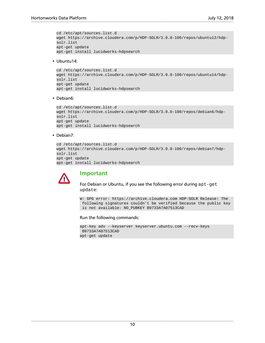```
cd /etc/apt/sources.list.d
wget https://archive.cloudera.com/p/HDP-SOLR/3.0.0-100/repos/ubuntu12/hdp-
solr.list
apt-get update
apt-get install lucidworks-hdpsearch
```
• Ubuntu14:

```
cd /etc/apt/sources.list.d
wget https://archive.cloudera.com/p/HDP-SOLR/3.0.0-100/repos/ubuntu14/hdp-
solr.list
apt-get update
apt-get install lucidworks-hdpsearch
```
• Debian6:

```
cd /etc/apt/sources.list.d
wget https://archive.cloudera.com/p/HDP-SOLR/3.0.0-100/repos/debian6/hdp-
solr.list
apt-get update
apt-get install lucidworks-hdpsearch
```
• Debian7:

```
cd /etc/apt/sources.list.d
wget https://archive.cloudera.com/p/HDP-SOLR/3.0.0-100/repos/debian7/hdp-
solr.list
apt-get update
apt-get install lucidworks-hdpsearch
```


#### **Important**

For Debian or Ubuntu, if you see the following error during apt-get update:

W: GPG error: https://archive.cloudera.com HDP-SOLR Release: The following signatures couldn't be verified because the public key is not available: NO\_PUBKEY B9733A7A07513CAD

Run the following commands:

```
apt-key adv --keyserver keyserver.ubuntu.com --recv-keys
 B9733A7A07513CAD
apt-get update
```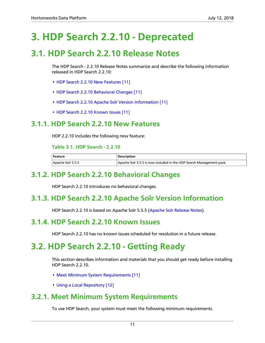## <span id="page-14-0"></span>**3. HDP Search 2.2.10 - Deprecated**

### <span id="page-14-1"></span>**3.1. HDP Search 2.2.10 Release Notes**

The HDP Search - 2.2.10 Release Notes summarize and describe the following information released in HDP Search 2.2.10:

- [HDP Search 2.2.10 New Features \[11\]](#page-14-2)
- [HDP Search 2.2.10 Behavioral Changes \[11\]](#page-14-3)
- [HDP Search 2.2.10 Apache Solr Version Information \[11\]](#page-14-4)
- [HDP Search 2.2.10 Known Issues \[11\]](#page-14-5)

#### <span id="page-14-8"></span><span id="page-14-2"></span>**3.1.1. HDP Search 2.2.10 New Features**

HDP 2.2.10 includes the following new feature:

#### **Table 3.1. HDP Search - 2.2.10**

| Feature           | <b>Description</b>                                                   |  |
|-------------------|----------------------------------------------------------------------|--|
| Apache Solr 5.5.5 | Apache Solr 5.5.5 is now included in the HDP Search Management pack. |  |

### <span id="page-14-3"></span>**3.1.2. HDP Search 2.2.10 Behavioral Changes**

HDP Search 2.2.10 introduces no behavioral changes.

### <span id="page-14-4"></span>**3.1.3. HDP Search 2.2.10 Apache Solr Version Information**

HDP Search 2.2.10 is based on Apache Solr 5.5.5 ([Apache Solr Release Notes\)](http://lucene.apache.org/solr/5_5_5/changes/Changes.html).

### <span id="page-14-5"></span>**3.1.4. HDP Search 2.2.10 Known Issues**

HDP Search 2.2.10 has no known issues scheduled for resolution in a future release.

### <span id="page-14-6"></span>**3.2. HDP Search 2.2.10 - Getting Ready**

This section describes information and materials that you should get ready before installing HDP Search 2.2.10.

- [Meet Minimum System Requirements \[11\]](#page-14-7)
- [Using a Local Repository \[12\]](#page-15-0)

### <span id="page-14-7"></span>**3.2.1. Meet Minimum System Requirements**

To use HDP Search, your system must meet the following minimum requirements.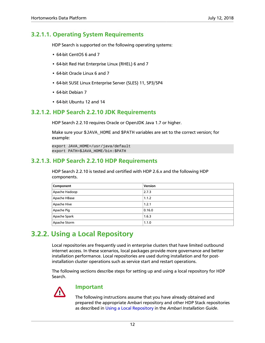#### **3.2.1.1. Operating System Requirements**

HDP Search is supported on the following operating systems:

- 64-bit CentOS 6 and 7
- 64-bit Red Hat Enterprise Linux (RHEL) 6 and 7
- 64-bit Oracle Linux 6 and 7
- 64-bit SUSE Linux Enterprise Server (SLES) 11, SP3/SP4
- 64-bit Debian 7
- 64-bit Ubuntu 12 and 14

#### **3.2.1.2. HDP Search 2.2.10 JDK Requirements**

HDP Search 2.2.10 requires Oracle or OpenJDK Java 1.7 or higher.

Make sure your \$JAVA\_HOME and \$PATH variables are set to the correct version; for example:

```
export JAVA_HOME=/usr/java/default
export PATH=$JAVA_HOME/bin:$PATH
```
#### **3.2.1.3. HDP Search 2.2.10 HDP Requirements**

HDP Search 2.2.10 is tested and certified with HDP 2.6.x and the following HDP components.

| Component     | Version |
|---------------|---------|
| Apache Hadoop | 2.7.3   |
| Apache HBase  | 1.1.2   |
| Apache Hive   | 1.2.1   |
| Apache Pig    | 0.16.0  |
| Apache Spark  | 1.6.3   |
| Apache Storm  | 1.1.0   |

### <span id="page-15-0"></span>**3.2.2. Using a Local Repository**

Local repositories are frequently used in enterprise clusters that have limited outbound internet access. In these scenarios, local packages provide more governance and better installation performance. Local repositories are used during installation and for postinstallation cluster operations such as service start and restart operations.

The following sections describe steps for setting up and using a local repository for HDP Search.



#### **Important**

The following instructions assume that you have already obtained and prepared the appropriate Ambari repository and other HDP Stack repositories as described in [Using a Local Repository](https://docs.hortonworks.com/HDPDocuments/Ambari-2.7.0.0/bk_ambari-installation/content/ch_using-local-repos.html) in the *Ambari Installation Guide*.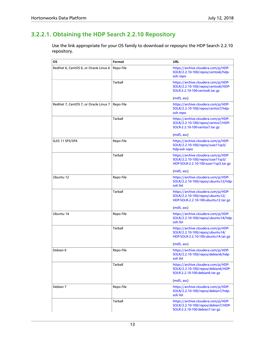### **3.2.2.1. Obtaining the HDP Search 2.2.10 Repository**

Use the link appropriate for your OS family to download or reposync the HDP Search 2.2.10 repository.

| OS                                    | Format         | URL                                                                                                             |
|---------------------------------------|----------------|-----------------------------------------------------------------------------------------------------------------|
| RedHat 6, CentOS 6, or Oracle Linux 6 | Repo File      | https://archive.cloudera.com/p/HDP-<br>SOLR/2.2.10-100/repos/centos6/hdp-<br>solr.repo                          |
|                                       | <b>Tarball</b> | https://archive.cloudera.com/p/HDP-<br>SOLR/2.2.10-100/repos/centos6/HDP-<br>SOLR-2.2.10-100-centos6.tar.gz     |
|                                       |                | (md5, asc)                                                                                                      |
| RedHat 7, CentOS 7, or Oracle Linux 7 | Repo File      | https://archive.cloudera.com/p/HDP-<br>SOLR/2.2.10-100/repos/centos7/hdp-<br>solr.repo                          |
|                                       | Tarball        | https://archive.cloudera.com/p/HDP-<br>SOLR/2.2.10-100/repos/centos7/HDP-<br>SOLR-2.2.10-100-centos7.tar.gz     |
|                                       |                | (md5, asc)                                                                                                      |
| <b>SLES 11 SP3/SP4</b>                | Repo File      | https://archive.cloudera.com/p/HDP-<br>SOLR/2.2.10-100/repos/suse11sp3/<br>hdp-solr.repo                        |
|                                       | <b>Tarball</b> | https://archive.cloudera.com/p/HDP-<br>SOLR/2.2.10-100/repos/suse11sp3/<br>HDP-SOLR-2.2.10-100-suse11sp3.tar.gz |
|                                       |                | (md5, asc)                                                                                                      |
| Ubuntu 12                             | Repo File      | https://archive.cloudera.com/p/HDP-<br>SOLR/2.2.10-100/repos/ubuntu12/hdp-<br>solr.list                         |
|                                       | Tarball        | https://archive.cloudera.com/p/HDP-<br>SOLR/2.2.10-100/repos/ubuntu12/<br>HDP-SOLR-2.2.10-100-ubuntu12.tar.gz   |
|                                       |                | (md5, asc)                                                                                                      |
| Ubuntu 14                             | Repo File      | https://archive.cloudera.com/p/HDP-<br>SOLR/2.2.10-100/repos/ubuntu14/hdp-<br>solr.list                         |
|                                       | Tarball        | https://archive.cloudera.com/p/HDP-<br>SOLR/2.2.10-100/repos/ubuntu14/<br>HDP-SOLR-2.2.10-100-ubuntu14.tar.gz   |
|                                       |                | (md5, asc)                                                                                                      |
| Debian 6                              | Repo File      | https://archive.cloudera.com/p/HDP-<br>SOLR/2.2.10-100/repos/debian6/hdp-<br>solr.list                          |
|                                       | Tarball        | https://archive.cloudera.com/p/HDP-<br>SOLR/2.2.10-100/repos/debian6/HDP-<br>SOLR-2.2.10-100-debian6.tar.gz     |
|                                       |                | (md5, asc)                                                                                                      |
| Debian 7                              | Repo File      | https://archive.cloudera.com/p/HDP-<br>SOLR/2.2.10-100/repos/debian7/hdp-<br>solr.list                          |
|                                       | Tarball        | https://archive.cloudera.com/p/HDP-<br>SOLR/2.2.10-100/repos/debian7/HDP-<br>SOLR-2.2.10-100-debian7.tar.gz     |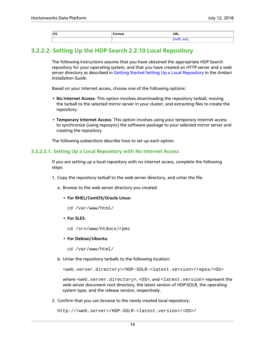| ັ | $L$ $\sim$ $\mu$ $\sim$ $\sim$ $\sim$<br>11 1 0 L<br>------ | <b>URL</b><br>--- |
|---|-------------------------------------------------------------|-------------------|
|   |                                                             | uju.<br>.         |

#### **3.2.2.2. Setting Up the HDP Search 2.2.10 Local Repository**

The following instructions assume that you have obtained the appropriate HDP Search repository for your operating system, and that you have created an HTTP server and a web server directory as described in [Getting Started Setting Up a Local Repository](https://docs.hortonworks.com/HDPDocuments/Ambari-2.7.0.0/bk_ambari-installation/content/getting_started_setting_up_a_local_repository.html) in the *Ambari Installation Guide*.

Based on your Internet access, choose one of the following options:

- **No Internet Access**: This option involves downloading the repository tarball, moving the tarball to the selected mirror server in your cluster, and extracting files to create the repository.
- **Temporary Internet Access**: This option involves using your temporary Internet access to synchronize (using reposync) the software package to your selected mirror server and creating the repository.

The following subsections describe how to set up each option.

#### **3.2.2.2.1. Setting Up a Local Repository with No Internet Access**

If you are setting up a local repository with no internet access, complete the following steps:

- 1. Copy the repository tarball to the web server directory, and untar the file.
	- a. Browse to the web server directory you created.
		- **For RHEL/CentOS/Oracle Linux**:
			- cd /var/www/html/
		- **For SLES**:
			- cd /srv/www/htdocs/rpms
		- **For Debian/Ubuntu**:
			- cd /var/www/html/
	- b. Untar the repository tarballs to the following location:

```
<web.server.directory>/HDP-SOLR-<latest.version>/repos/<OS>
```
where <web.server.directory>, <OS>, and <latest.version> represent the web server document root directory, the latest version of HDP-SOLR, the operating system type, and the release version, respectively.

2. Confirm that you can browse to the newly created local repository:

http://<web.server>/HDP-SOLR-<latest.version>/<OS>/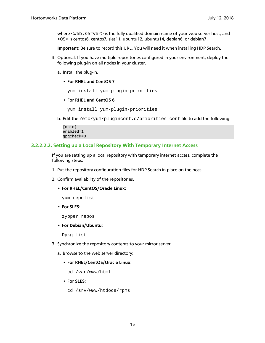where <web. server> is the fully-qualified domain name of your web server host, and <OS> is centos6, centos7, sles11, ubuntu12, ubuntu14, debian6, or debian7.

**Important**: Be sure to record this URL. You will need it when installing HDP Search.

- 3. Optional: If you have multiple repositories configured in your environment, deploy the following plug-in on all nodes in your cluster.
	- a. Install the plug-in.
		- **For RHEL and CentOS 7**:

yum install yum-plugin-priorities

• **For RHEL and CentOS 6**:

```
yum install yum-plugin-priorities
```
b. Edit the /etc/yum/pluginconf.d/priorities.conf file to add the following:

```
[main]
enabled=1
gpgcheck=0
```
#### **3.2.2.2.2. Setting up a Local Repository With Temporary Internet Access**

If you are setting up a local repository with temporary internet access, complete the following steps:

- 1. Put the repository configuration files for HDP Search in place on the host.
- 2. Confirm availability of the repositories.
	- **For RHEL/CentOS/Oracle Linux**:

yum repolist

• **For SLES**:

zypper repos

• **For Debian/Ubuntu**:

Dpkg-list

- 3. Synchronize the repository contents to your mirror server.
	- a. Browse to the web server directory:
		- **For RHEL/CentOS/Oracle Linux**:

cd /var/www/html

- **For SLES**:
	- cd /srv/www/htdocs/rpms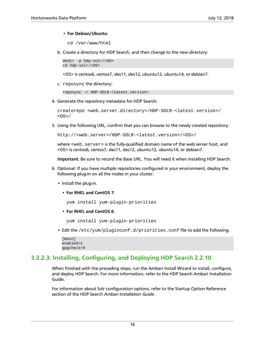#### • **For Debian/Ubuntu**:

```
cd /var/www/html
```
b. Create a directory for HDP Search, and then change to the new directory:

```
mkdir -p hdp-solr/<OS>
cd hdp-solr/<OS>
```
<OS> is centos6, centos7, sles11, sles12, ubuntu12, ubuntu14, or debian7.

c. reposync the directory:

reposync -r HDP-SOLR-<latest.version>

4. Generate the repository metadata for HDP Search:

```
createrepo <web.server.directory>/HDP-SOLR-<latest.version>/
<OS>/
```
5. Using the following URL, confirm that you can browse to the newly created repository:

http://<web.server>/HDP-SOLR-<latest.version>/<OS>/

where <web.server> is the fully-qualified domain name of the web server host, and <OS> is centos6, centos7, sles11, sles12, ubuntu12, ubuntu14, or debian7.

**Important**: Be sure to record the Base URL. You will need it when installing HDP Search.

- 6. Optional: If you have multiple repositories configured in your environment, deploy the following plug-in on all the nodes in your cluster.
	- Install the plug-in.
		- **For RHEL and CentOS 7**:

yum install yum-plugin-priorities

• **For RHEL and CentOS 6**:

yum install yum-plugin-priorities

• Edit the /etc/yum/pluginconf.d/priorities.conf file to add the following:

```
[main]
enabled=1
gpgcheck=0
```
#### **3.2.2.3. Installing, Configuring, and Deploying HDP Search 2.2.10**

When finished with the preceding steps, run the Ambari Install Wizard to install, configure, and deploy HDP Search. For more information, refer to the HDP Search Ambari Installation Guide.

For information about Solr configuration options, refer to the Startup Option Reference section of the HDP Search *Ambari Installation Guide*.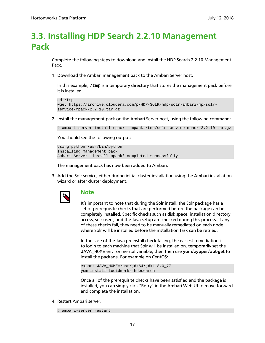### <span id="page-20-0"></span>**3.3. Installing HDP Search 2.2.10 Management Pack**

Complete the following steps to download and install the HDP Search 2.2.10 Management Pack.

1. Download the Ambari management pack to the Ambari Server host.

In this example, /tmp is a temporary directory that stores the management pack before it is installed.

```
cd /tmp
wget https://archive.cloudera.com/p/HDP-SOLR/hdp-solr-ambari-mp/solr-
service-mpack-2.2.10.tar.gz
```
2. Install the management pack on the Ambari Server host, using the following command:

```
# ambari-server install-mpack --mpack=/tmp/solr-service-mpack-2.2.10.tar.gz
```
You should see the following output:

```
Using python /usr/bin/python
Installing management pack
Ambari Server 'install-mpack' completed successfully.
```
The management pack has now been added to Ambari.

3. Add the Solr service, either during initial cluster installation using the Ambari installation wizard or after cluster deployment.



#### **Note**

It's important to note that during the Solr install, the Solr package has a set of prerequisite checks that are performed before the package can be completely installed. Specific checks such as disk space, installation directory access, solr users, and the Java setup are checked during this process. If any of these checks fail, they need to be manually remediated on each node where Solr will be installed before the installation task can be retried.

In the case of the Java preinstall check failing, the easiest remediation is to login to each machine that Solr will be installed on, temporarily set the JAVA\_HOME environmental variable, then then use **yum**/**zypper**/**apt-get** to install the package. For example on CentOS:

```
export JAVA_HOME=/usr/jdk64/jdk1.8.0_77
yum install lucidworks-hdpsearch
```
Once all of the prerequisite checks have been satisfied and the package is installed, you can simply click "Retry" in the Ambari Web UI to move forward and complete the installation.

4. Restart Ambari server.

```
# ambari-server restart
```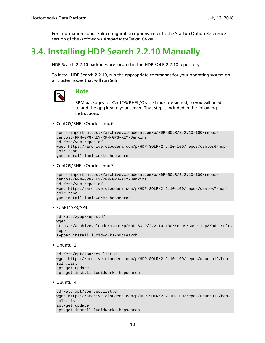For information about Solr configuration options, refer to the Startup Option Reference section of the *Lucidworks Ambari Installation Guide.*

### <span id="page-21-0"></span>**3.4. Installing HDP Search 2.2.10 Manually**

HDP Search 2.2.10 packages are located in the HDP-SOLR 2.2.10 repository.

To install HDP Search 2.2.10, run the appropriate commands for your operating system on all cluster nodes that will run Solr.



#### **Note**

RPM packages for CentOS/RHEL/Oracle Linux are signed, so you will need to add the gpg key to your server. That step is included in the following instructions.

• CentOS/RHEL/Oracle Linux 6:

```
rpm --import https://archive.cloudera.com/p/HDP-SOLR/2.2.10-100/repos/
centos6/RPM-GPG-KEY/RPM-GPG-KEY-Jenkins
cd /etc/yum.repos.d/
wget https://archive.cloudera.com/p/HDP-SOLR/2.2.10-100/repos/centos6/hdp-
solr.repo
yum install lucidworks-hdpsearch
```
• CentOS/RHEL/Oracle Linux 7:

```
rpm --import https://archive.cloudera.com/p/HDP-SOLR/2.2.10-100/repos/
centos7/RPM-GPG-KEY/RPM-GPG-KEY-Jenkins
cd /etc/yum.repos.d/
wget https://archive.cloudera.com/p/HDP-SOLR/2.2.10-100/repos/centos7/hdp-
solr.repo
yum install lucidworks-hdpsearch
```
#### • SUSE11SP3/SP4:

```
cd /etc/zypp/repos.d/
wget
https://archive.cloudera.com/p/HDP-SOLR/2.2.10-100/repos/suse11sp3/hdp-solr.
repo
zypper install lucidworks-hdpsearch
```
• Ubuntu12:

```
cd /etc/apt/sources.list.d
wget https://archive.cloudera.com/p/HDP-SOLR/2.2.10-100/repos/ubuntu12/hdp-
solr.list
apt-get update
apt-get install lucidworks-hdpsearch
```
• Ubuntu14:

```
cd /etc/apt/sources.list.d
wget https://archive.cloudera.com/p/HDP-SOLR/2.2.10-100/repos/ubuntu12/hdp-
solr.list
apt-get update
apt-get install lucidworks-hdpsearch
```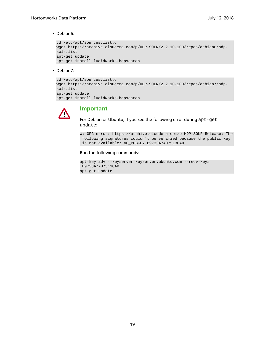• Debian6:

```
cd /etc/apt/sources.list.d
wget https://archive.cloudera.com/p/HDP-SOLR/2.2.10-100/repos/debian6/hdp-
solr.list
apt-get update
apt-get install lucidworks-hdpsearch
```
• Debian7:

```
cd /etc/apt/sources.list.d
wget https://archive.cloudera.com/p/HDP-SOLR/2.2.10-100/repos/debian7/hdp-
solr.list
apt-get update
apt-get install lucidworks-hdpsearch
```


#### **Important**

For Debian or Ubuntu, if you see the following error during apt-get update:

W: GPG error: https://archive.cloudera.com/p HDP-SOLR Release: The following signatures couldn't be verified because the public key is not available: NO\_PUBKEY B9733A7A07513CAD

Run the following commands:

```
apt-key adv --keyserver keyserver.ubuntu.com --recv-keys
 B9733A7A07513CAD
apt-get update
```